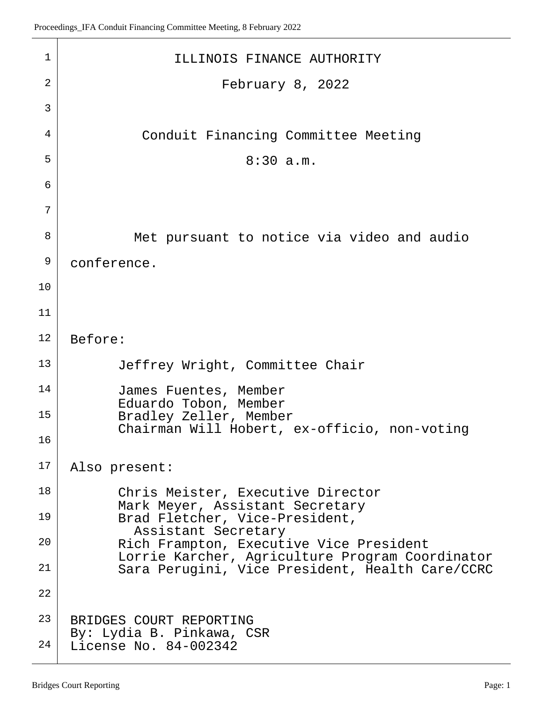<sup>1</sup> ILLINOIS FINANCE AUTHORITY 2 February 8, 2022 3 4 Conduit Financing Committee Meeting  $5$  8:30 a.m. 6 7 8 Met pursuant to notice via video and audio <sup>9</sup> conference. 10 11 12 Before: 13 Jeffrey Wright, Committee Chair 14 James Fuentes, Member Eduardo Tobon, Member 15 Bradley Zeller, Member Chairman Will Hobert, ex-officio, non-voting 16 17 Also present: 18 Chris Meister, Executive Director Mark Meyer, Assistant Secretary 19 Brad Fletcher, Vice-President, Assistant Secretary 20 Rich Frampton, Executive Vice President Lorrie Karcher, Agriculture Program Coordinator 21 Sara Perugini, Vice President, Health Care/CCRC 22 23 | BRIDGES COURT REPORTING By: Lydia B. Pinkawa, CSR 24 License No. 84-002342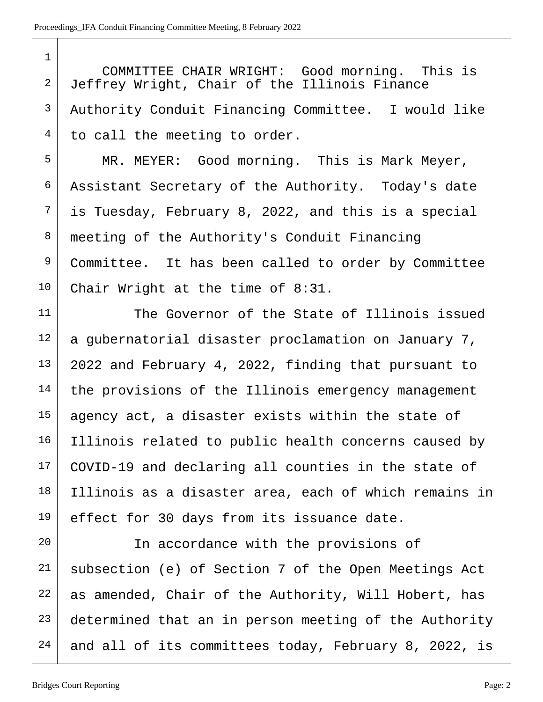| $\mathbf 1$    |                                                                                                |
|----------------|------------------------------------------------------------------------------------------------|
| $\overline{a}$ | COMMITTEE CHAIR WRIGHT: Good morning. This is<br>Jeffrey Wright, Chair of the Illinois Finance |
| $\mathfrak{Z}$ | Authority Conduit Financing Committee. I would like                                            |
| $\overline{4}$ | to call the meeting to order.                                                                  |
| 5              | MR. MEYER: Good morning. This is Mark Meyer,                                                   |
| 6              | Assistant Secretary of the Authority. Today's date                                             |
| 7              | is Tuesday, February 8, 2022, and this is a special                                            |
| 8              | meeting of the Authority's Conduit Financing                                                   |
| 9              | Committee. It has been called to order by Committee                                            |
| 10             | Chair Wright at the time of $8:31$ .                                                           |
| 11             | The Governor of the State of Illinois issued                                                   |
| 12             | a gubernatorial disaster proclamation on January 7,                                            |
| 13             | 2022 and February 4, 2022, finding that pursuant to                                            |
| 14             | the provisions of the Illinois emergency management                                            |
| 15             | agency act, a disaster exists within the state of                                              |
| 16             | Illinois related to public health concerns caused by                                           |
| 17             | COVID-19 and declaring all counties in the state of                                            |
| 18             | Illinois as a disaster area, each of which remains in                                          |
| 19             | effect for 30 days from its issuance date.                                                     |
| 20             | In accordance with the provisions of                                                           |
| 21             | subsection (e) of Section 7 of the Open Meetings Act                                           |
| 22             | as amended, Chair of the Authority, Will Hobert, has                                           |
| 23             | determined that an in person meeting of the Authority                                          |
| 24             | and all of its committees today, February 8, 2022, is                                          |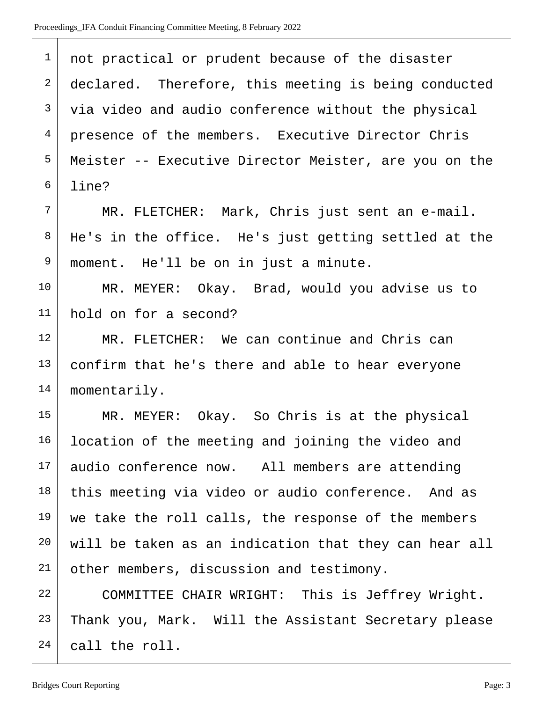| $\mathbf{1}$   | not practical or prudent because of the disaster      |
|----------------|-------------------------------------------------------|
| $\overline{2}$ | declared. Therefore, this meeting is being conducted  |
| 3              | via video and audio conference without the physical   |
| $\overline{4}$ | presence of the members. Executive Director Chris     |
| 5              | Meister -- Executive Director Meister, are you on the |
| 6              | line?                                                 |
| 7              | MR. FLETCHER: Mark, Chris just sent an e-mail.        |
| 8              | He's in the office. He's just getting settled at the  |
| 9              | moment. He'll be on in just a minute.                 |
| 10             | MR. MEYER: Okay. Brad, would you advise us to         |
| 11             | hold on for a second?                                 |
| 12             | MR. FLETCHER: We can continue and Chris can           |
| 13             | confirm that he's there and able to hear everyone     |
| 14             | momentarily.                                          |
| 15             | MR. MEYER: Okay. So Chris is at the physical          |
| 16             | location of the meeting and joining the video and     |
| 17             | audio conference now. All members are attending       |
| 18             | this meeting via video or audio conference. And as    |
| 19             | we take the roll calls, the response of the members   |
| 20             | will be taken as an indication that they can hear all |
| 21             | other members, discussion and testimony.              |
| 22             | COMMITTEE CHAIR WRIGHT: This is Jeffrey Wright.       |
| 23             | Thank you, Mark. Will the Assistant Secretary please  |
| 24             | call the roll.                                        |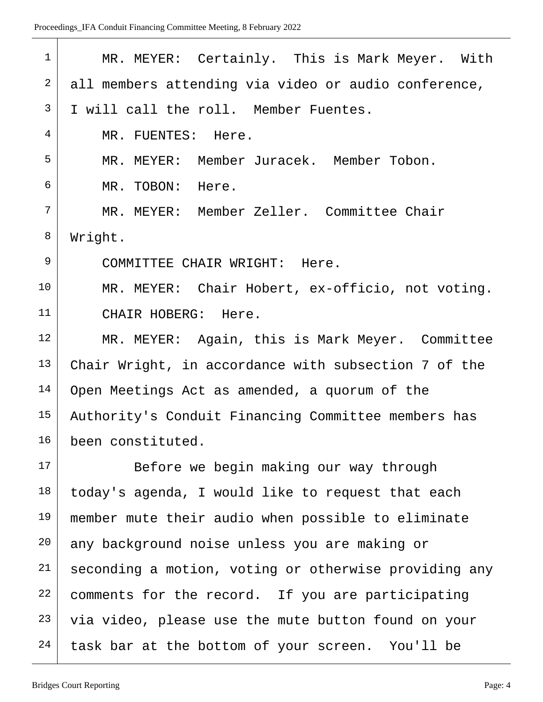| $\mathbf 1$    | MR. MEYER: Certainly. This is Mark Meyer. With        |
|----------------|-------------------------------------------------------|
| 2              | all members attending via video or audio conference,  |
| 3              | I will call the roll. Member Fuentes.                 |
| $\overline{4}$ | MR. FUENTES: Here.                                    |
| 5              | MR. MEYER: Member Juracek. Member Tobon.              |
| 6              | MR. TOBON: Here.                                      |
| 7              | MR. MEYER: Member Zeller. Committee Chair             |
| 8              | Wright.                                               |
| 9              | COMMITTEE CHAIR WRIGHT: Here.                         |
| 10             | MR. MEYER: Chair Hobert, ex-officio, not voting.      |
| 11             | CHAIR HOBERG: Here.                                   |
| 12             | MR. MEYER: Again, this is Mark Meyer. Committee       |
| 13             | Chair Wright, in accordance with subsection 7 of the  |
| 14             | Open Meetings Act as amended, a quorum of the         |
| 15             | Authority's Conduit Financing Committee members has   |
| 16             | been constituted.                                     |
| 17             | Before we begin making our way through                |
| 18             | today's agenda, I would like to request that each     |
| 19             | member mute their audio when possible to eliminate    |
| 20             | any background noise unless you are making or         |
| 21             | seconding a motion, voting or otherwise providing any |
| 22             | comments for the record. If you are participating     |
| 23             | via video, please use the mute button found on your   |
| 24             | task bar at the bottom of your screen. You'll be      |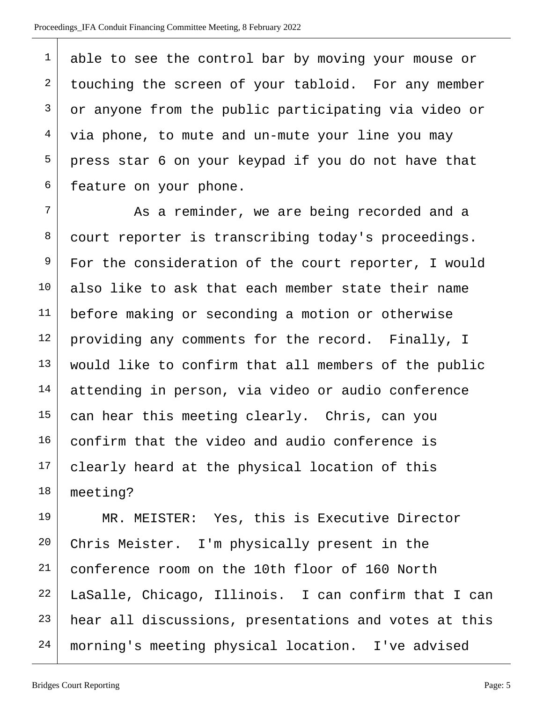able to see the control bar by moving your mouse or touching the screen of your tabloid. For any member or anyone from the public participating via video or  $4 \mid$  via phone, to mute and un-mute your line you may press star 6 on your keypad if you do not have that feature on your phone.

 As a reminder, we are being recorded and a court reporter is transcribing today's proceedings. 9 For the consideration of the court reporter, I would also like to ask that each member state their name before making or seconding a motion or otherwise 12 providing any comments for the record. Finally, I 13 would like to confirm that all members of the public attending in person, via video or audio conference can hear this meeting clearly. Chris, can you confirm that the video and audio conference is clearly heard at the physical location of this meeting?

19 | MR. MEISTER: Yes, this is Executive Director Chris Meister. I'm physically present in the 21 conference room on the 10th floor of 160 North LaSalle, Chicago, Illinois. I can confirm that I can hear all discussions, presentations and votes at this morning's meeting physical location. I've advised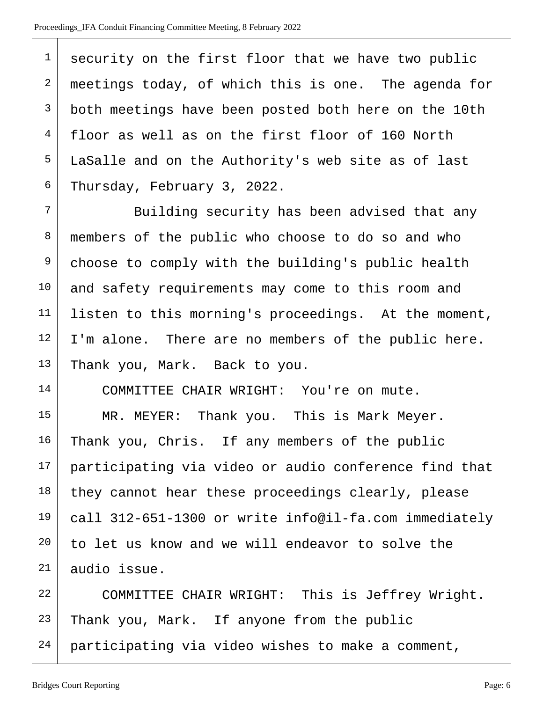| $\mathbf{1}$   | security on the first floor that we have two public   |
|----------------|-------------------------------------------------------|
| 2              | meetings today, of which this is one. The agenda for  |
| 3              | both meetings have been posted both here on the 10th  |
| $\overline{4}$ | floor as well as on the first floor of 160 North      |
| 5              | LaSalle and on the Authority's web site as of last    |
| 6              | Thursday, February 3, 2022.                           |
| 7              | Building security has been advised that any           |
| 8              | members of the public who choose to do so and who     |
| 9              | choose to comply with the building's public health    |
| 10             | and safety requirements may come to this room and     |
| 11             | listen to this morning's proceedings. At the moment,  |
| 12             | I'm alone. There are no members of the public here.   |
| 13             | Thank you, Mark. Back to you.                         |
| 14             | COMMITTEE CHAIR WRIGHT: You're on mute.               |
| 15             | MR. MEYER: Thank you. This is Mark Meyer.             |
| 16             | Thank you, Chris. If any members of the public        |
| 17             | participating via video or audio conference find that |
| 18             | they cannot hear these proceedings clearly, please    |
| 19             | call 312-651-1300 or write info@il-fa.com immediately |
| $20 \,$        | to let us know and we will endeavor to solve the      |
| 21             | audio issue.                                          |
| 22             | COMMITTEE CHAIR WRIGHT: This is Jeffrey Wright.       |
| 23             | Thank you, Mark. If anyone from the public            |
| 24             | participating via video wishes to make a comment,     |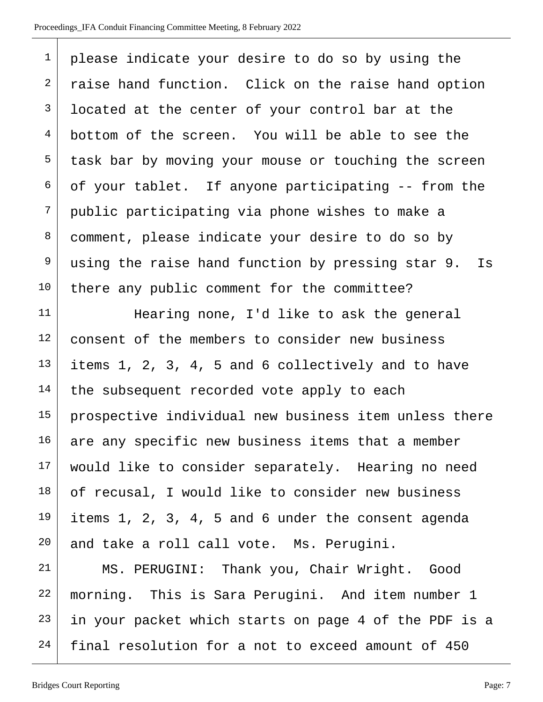| $\mathbf{1}$   | please indicate your desire to do so by using the       |
|----------------|---------------------------------------------------------|
| 2              | raise hand function. Click on the raise hand option     |
| 3              | located at the center of your control bar at the        |
| $\overline{4}$ | bottom of the screen. You will be able to see the       |
| 5              | task bar by moving your mouse or touching the screen    |
| 6              | of your tablet. If anyone participating -- from the     |
| 7              | public participating via phone wishes to make a         |
| 8              | comment, please indicate your desire to do so by        |
| 9              | using the raise hand function by pressing star 9.<br>Is |
| 10             | there any public comment for the committee?             |
| 11             | Hearing none, I'd like to ask the general               |
| 12             | consent of the members to consider new business         |
| 13             | items 1, 2, 3, 4, 5 and 6 collectively and to have      |
| 14             | the subsequent recorded vote apply to each              |
| 15             | prospective individual new business item unless there   |
| 16             | are any specific new business items that a member       |
| 17             | would like to consider separately. Hearing no need      |
| 18             | of recusal, I would like to consider new business       |
| 19             | items 1, 2, 3, 4, 5 and 6 under the consent agenda      |
| 20             | and take a roll call vote. Ms. Perugini.                |
| 21             | MS. PERUGINI: Thank you, Chair Wright. Good             |
| 22             | morning. This is Sara Perugini. And item number 1       |
| 23             | in your packet which starts on page 4 of the PDF is a   |

final resolution for a not to exceed amount of 450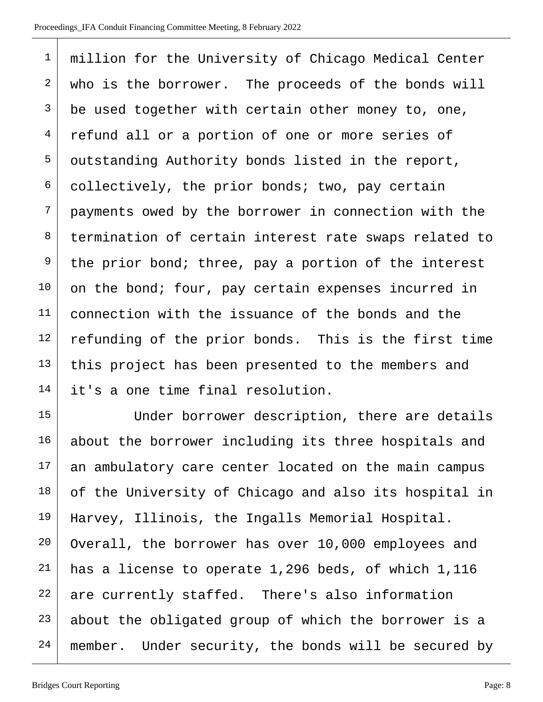| $\mathbf 1$    | million for the University of Chicago Medical Center  |
|----------------|-------------------------------------------------------|
| $\overline{2}$ | who is the borrower. The proceeds of the bonds will   |
| 3              | be used together with certain other money to, one,    |
| $\overline{4}$ | refund all or a portion of one or more series of      |
| 5              | outstanding Authority bonds listed in the report,     |
| 6              | collectively, the prior bonds; two, pay certain       |
| 7              | payments owed by the borrower in connection with the  |
| 8              | termination of certain interest rate swaps related to |
| 9              | the prior bond; three, pay a portion of the interest  |
| 10             | on the bond; four, pay certain expenses incurred in   |
| 11             | connection with the issuance of the bonds and the     |
| 12             | refunding of the prior bonds. This is the first time  |
| 13             | this project has been presented to the members and    |
| 14             | it's a one time final resolution.                     |
|                |                                                       |

15 Under borrower description, there are details 16 about the borrower including its three hospitals and an ambulatory care center located on the main campus of the University of Chicago and also its hospital in 19 | Harvey, Illinois, the Ingalls Memorial Hospital. Overall, the borrower has over 10,000 employees and has a license to operate 1,296 beds, of which 1,116 are currently staffed. There's also information about the obligated group of which the borrower is a member. Under security, the bonds will be secured by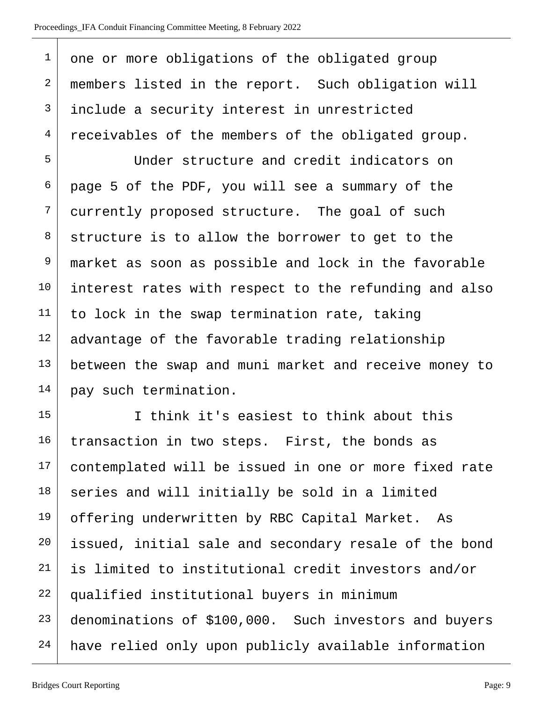| $\mathbf{1}$   | one or more obligations of the obligated group        |
|----------------|-------------------------------------------------------|
| 2              | members listed in the report. Such obligation will    |
| 3              | include a security interest in unrestricted           |
| $\overline{4}$ | receivables of the members of the obligated group.    |
| 5              | Under structure and credit indicators on              |
| 6              | page 5 of the PDF, you will see a summary of the      |
| 7              | currently proposed structure. The goal of such        |
| 8              | structure is to allow the borrower to get to the      |
| 9              | market as soon as possible and lock in the favorable  |
| 10             | interest rates with respect to the refunding and also |
| 11             | to lock in the swap termination rate, taking          |
| 12             | advantage of the favorable trading relationship       |
| 13             | between the swap and muni market and receive money to |
| 14             | pay such termination.                                 |
| 15             | I think it's easiest to think about this              |
| 16             | transaction in two steps. First, the bonds as         |
| 17             | contemplated will be issued in one or more fixed rate |
| 18             | series and will initially be sold in a limited        |
| 19             | offering underwritten by RBC Capital Market. As       |
| $20 \,$        | issued, initial sale and secondary resale of the bond |
| 21             | is limited to institutional credit investors and/or   |
| 22             | qualified institutional buyers in minimum             |
| 23             | denominations of \$100,000. Such investors and buyers |
| 24             | have relied only upon publicly available information  |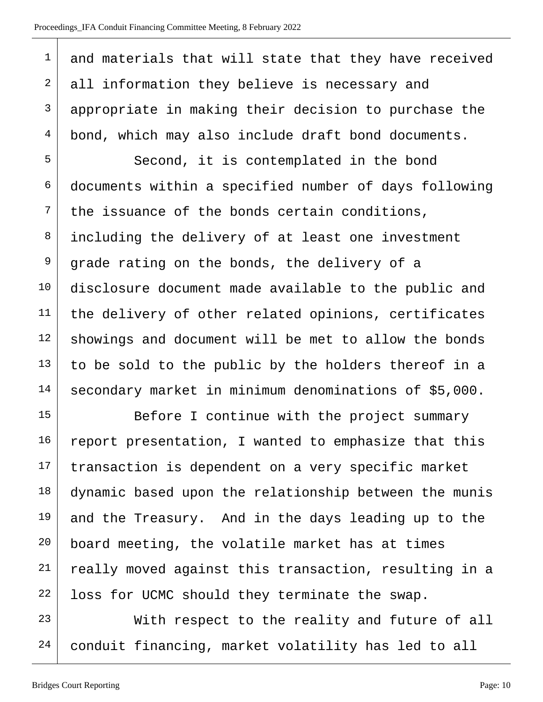$\overline{\phantom{a}}$ 

| $\mathbf 1$ | and materials that will state that they have received |
|-------------|-------------------------------------------------------|
| 2           | all information they believe is necessary and         |
| 3           | appropriate in making their decision to purchase the  |
| 4           | bond, which may also include draft bond documents.    |
| 5           | Second, it is contemplated in the bond                |
| 6           | documents within a specified number of days following |
| 7           | the issuance of the bonds certain conditions,         |
| 8           | including the delivery of at least one investment     |
| 9           | grade rating on the bonds, the delivery of a          |
| 10          | disclosure document made available to the public and  |
| 11          | the delivery of other related opinions, certificates  |
| 12          | showings and document will be met to allow the bonds  |
| 13          | to be sold to the public by the holders thereof in a  |
| 14          | secondary market in minimum denominations of \$5,000. |
| 15          | Before I continue with the project summary            |
| 16          | report presentation, I wanted to emphasize that this  |
| 17          | transaction is dependent on a very specific market    |
| 18          | dynamic based upon the relationship between the munis |
| 19          | and the Treasury. And in the days leading up to the   |
| 20          | board meeting, the volatile market has at times       |
| 21          | really moved against this transaction, resulting in a |
| 22          | loss for UCMC should they terminate the swap.         |
| 23          | With respect to the reality and future of all         |
| 24          | conduit financing, market volatility has led to all   |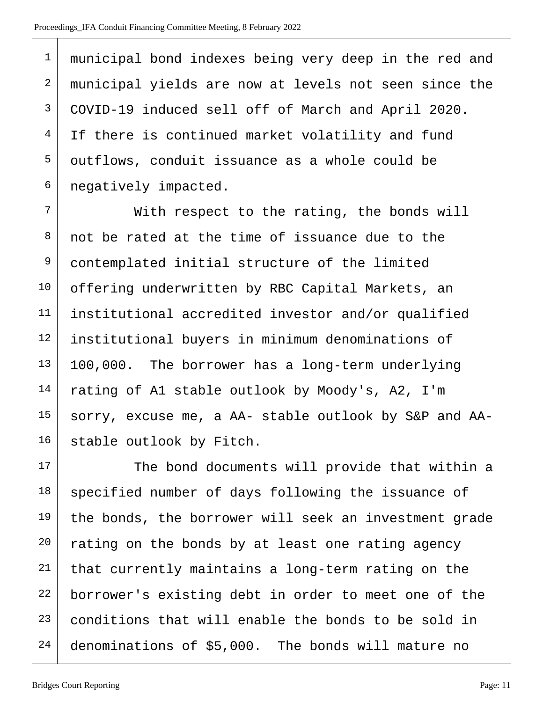1 | municipal bond indexes being very deep in the red and municipal yields are now at levels not seen since the COVID-19 induced sell off of March and April 2020. If there is continued market volatility and fund outflows, conduit issuance as a whole could be negatively impacted.

 With respect to the rating, the bonds will not be rated at the time of issuance due to the 9 contemplated initial structure of the limited 10 offering underwritten by RBC Capital Markets, an institutional accredited investor and/or qualified institutional buyers in minimum denominations of 100,000. The borrower has a long-term underlying rating of A1 stable outlook by Moody's, A2, I'm sorry, excuse me, a AA- stable outlook by S&P and AA-stable outlook by Fitch.

 The bond documents will provide that within a specified number of days following the issuance of the bonds, the borrower will seek an investment grade rating on the bonds by at least one rating agency that currently maintains a long-term rating on the borrower's existing debt in order to meet one of the conditions that will enable the bonds to be sold in denominations of \$5,000. The bonds will mature no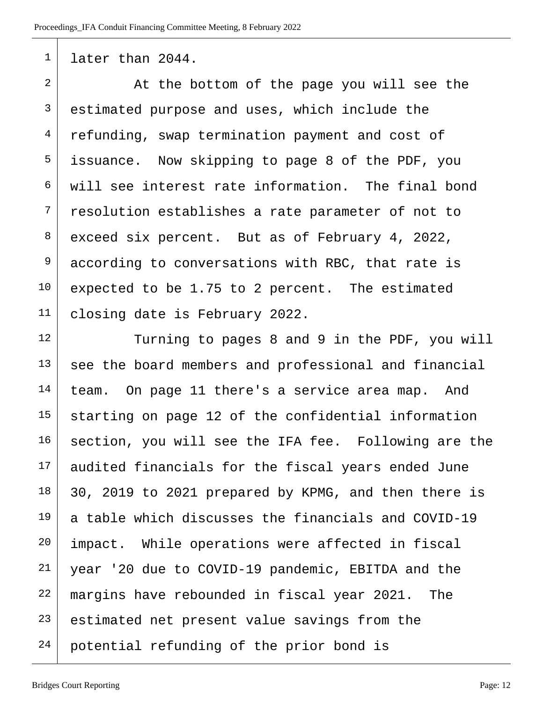## later than 2044.

  $\vert$  at the bottom of the page you will see the <sup>3</sup> estimated purpose and uses, which include the  $4 \mid$  refunding, swap termination payment and cost of issuance. Now skipping to page 8 of the PDF, you will see interest rate information. The final bond resolution establishes a rate parameter of not to exceed six percent. But as of February 4, 2022, according to conversations with RBC, that rate is expected to be 1.75 to 2 percent. The estimated 11 closing date is February 2022.

12 Turning to pages 8 and 9 in the PDF, you will see the board members and professional and financial team. On page 11 there's a service area map. And starting on page 12 of the confidential information section, you will see the IFA fee. Following are the 17 audited financials for the fiscal years ended June 30, 2019 to 2021 prepared by KPMG, and then there is a table which discusses the financials and COVID-19 impact. While operations were affected in fiscal year '20 due to COVID-19 pandemic, EBITDA and the margins have rebounded in fiscal year 2021. The estimated net present value savings from the 24 potential refunding of the prior bond is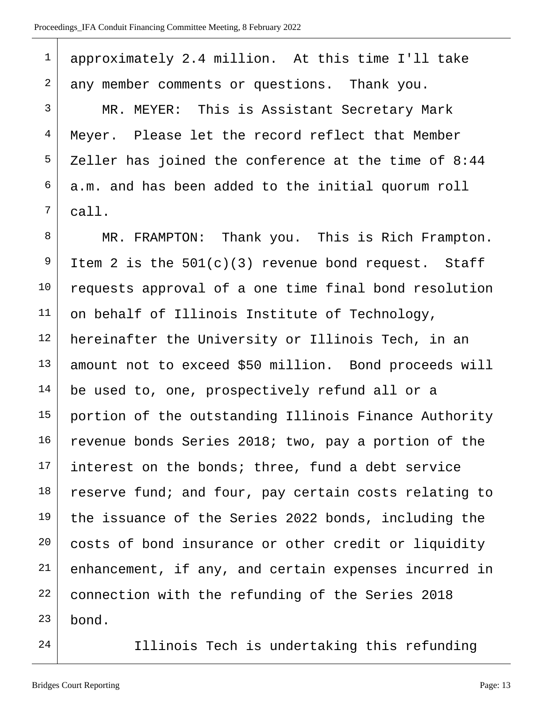| $\mathbf{1}$   | approximately 2.4 million. At this time I'll take     |
|----------------|-------------------------------------------------------|
| $\overline{2}$ | any member comments or questions. Thank you.          |
| 3              | MR. MEYER: This is Assistant Secretary Mark           |
| $\overline{4}$ | Meyer. Please let the record reflect that Member      |
| 5              | Zeller has joined the conference at the time of 8:44  |
| 6              | a.m. and has been added to the initial quorum roll    |
| 7              | call.                                                 |
| 8              | MR. FRAMPTON: Thank you. This is Rich Frampton.       |
| 9              | Item 2 is the $501(c)(3)$ revenue bond request. Staff |
| $10 \,$        | requests approval of a one time final bond resolution |
| 11             | on behalf of Illinois Institute of Technology,        |
| 12             | hereinafter the University or Illinois Tech, in an    |
| 13             | amount not to exceed \$50 million. Bond proceeds will |
| 14             | be used to, one, prospectively refund all or a        |
| 15             | portion of the outstanding Illinois Finance Authority |
| 16             | revenue bonds Series 2018; two, pay a portion of the  |
| 17             | interest on the bonds; three, fund a debt service     |
| 18             | reserve fund; and four, pay certain costs relating to |
| 19             | the issuance of the Series 2022 bonds, including the  |
| 20             | costs of bond insurance or other credit or liquidity  |
| 21             | enhancement, if any, and certain expenses incurred in |
| 22             | connection with the refunding of the Series 2018      |
| 23             | bond.                                                 |
|                |                                                       |

24 Illinois Tech is undertaking this refunding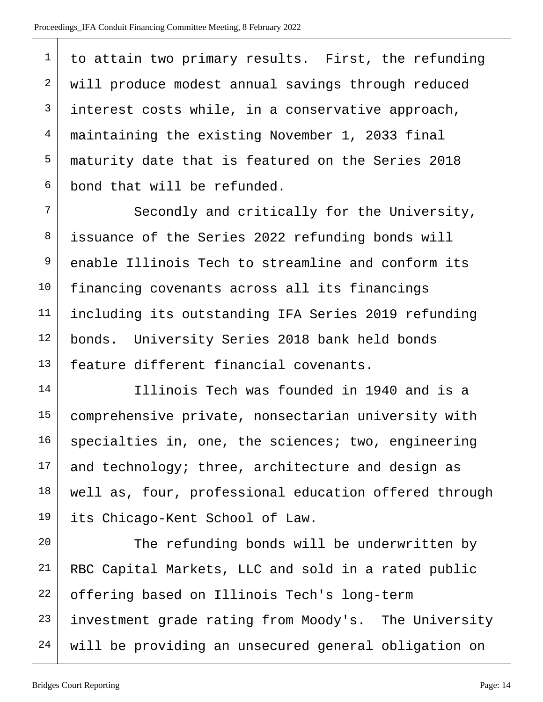to attain two primary results. First, the refunding 2 will produce modest annual savings through reduced interest costs while, in a conservative approach, 4 maintaining the existing November 1, 2033 final maturity date that is featured on the Series 2018 bond that will be refunded.

 $7$  Secondly and critically for the University, 8 issuance of the Series 2022 refunding bonds will 9 enable Illinois Tech to streamline and conform its 10 financing covenants across all its financings 11 including its outstanding IFA Series 2019 refunding 12 bonds. University Series 2018 bank held bonds 13 | feature different financial covenants.

14 Illinois Tech was founded in 1940 and is a comprehensive private, nonsectarian university with specialties in, one, the sciences; two, engineering and technology; three, architecture and design as well as, four, professional education offered through its Chicago-Kent School of Law.

20 The refunding bonds will be underwritten by RBC Capital Markets, LLC and sold in a rated public offering based on Illinois Tech's long-term investment grade rating from Moody's. The University will be providing an unsecured general obligation on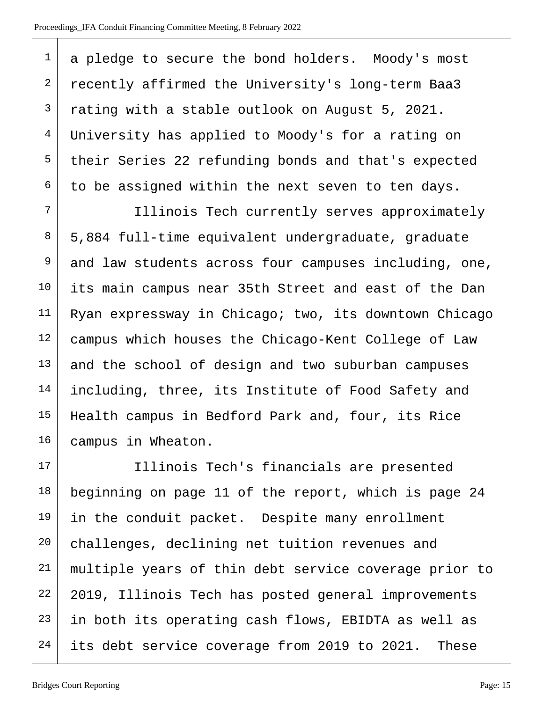| $\mathbf 1$    | a pledge to secure the bond holders. Moody's most     |
|----------------|-------------------------------------------------------|
| $\overline{a}$ | recently affirmed the University's long-term Baa3     |
| 3              | rating with a stable outlook on August 5, 2021.       |
| $\overline{4}$ | University has applied to Moody's for a rating on     |
| 5              | their Series 22 refunding bonds and that's expected   |
| 6              | to be assigned within the next seven to ten days.     |
| 7              | Illinois Tech currently serves approximately          |
| 8              | 5,884 full-time equivalent undergraduate, graduate    |
| 9              | and law students across four campuses including, one, |
| 10             | its main campus near 35th Street and east of the Dan  |
| 11             | Ryan expressway in Chicago; two, its downtown Chicago |
| 12             | campus which houses the Chicago-Kent College of Law   |
| 13             | and the school of design and two suburban campuses    |
| 14             | including, three, its Institute of Food Safety and    |
| 15             | Health campus in Bedford Park and, four, its Rice     |
| 16             | campus in Wheaton.                                    |
| 17             | Illinois Tech's financials are presented              |
| 18             | beginning on page 11 of the report, which is page 24  |
| 19             | in the conduit packet. Despite many enrollment        |
| $20 \,$        | challenges, declining net tuition revenues and        |
| 21             | multiple years of thin debt service coverage prior to |
| 22             | 2019, Illinois Tech has posted general improvements   |
| 23             | in both its operating cash flows, EBIDTA as well as   |
| 24             | its debt service coverage from 2019 to 2021. These    |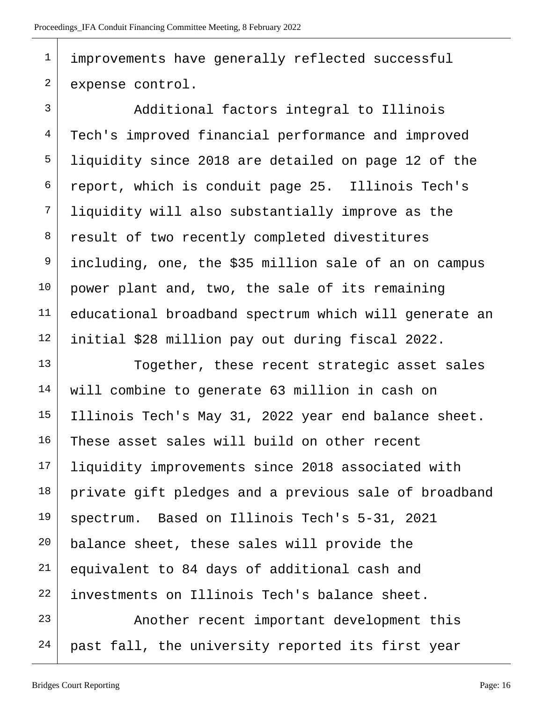<sup>1</sup> improvements have generally reflected successful 2 expense control.

3 Additional factors integral to Illinois <sup>4</sup> Tech's improved financial performance and improved  $5$  liquidity since 2018 are detailed on page 12 of the  $6$  report, which is conduit page 25. Illinois Tech's  $7$  liquidity will also substantially improve as the 8 result of two recently completed divestitures <sup>9</sup> including, one, the \$35 million sale of an on campus  $10$  power plant and, two, the sale of its remaining 11 | educational broadband spectrum which will generate an 12 initial \$28 million pay out during fiscal 2022.

13 Together, these recent strategic asset sales 14 | will combine to generate 63 million in cash on  $15$  Illinois Tech's May 31, 2022 year end balance sheet.  $16$  These asset sales will build on other recent 17 | liquidity improvements since 2018 associated with  $18$  private gift pledges and a previous sale of broadband 19 spectrum. Based on Illinois Tech's 5-31, 2021 20 balance sheet, these sales will provide the 21 equivalent to 84 days of additional cash and 22 investments on Illinois Tech's balance sheet. 23 Another recent important development this  $24$  past fall, the university reported its first year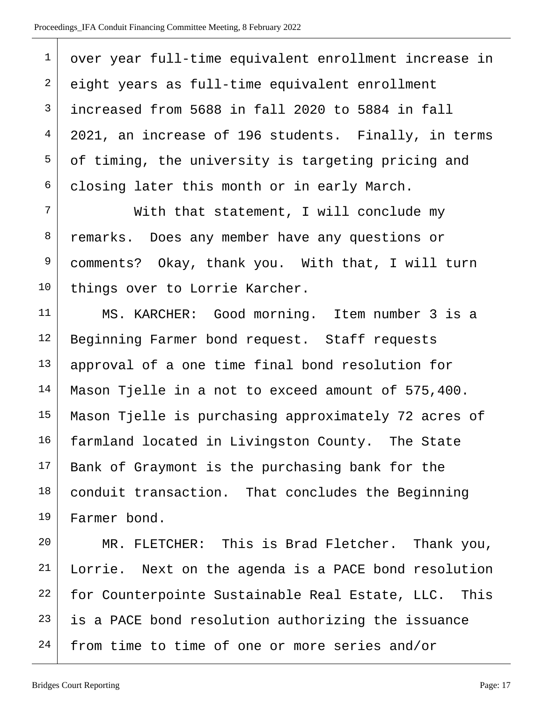| $\mathbf{1}$   | over year full-time equivalent enrollment increase in |
|----------------|-------------------------------------------------------|
| 2              | eight years as full-time equivalent enrollment        |
| 3              | increased from 5688 in fall 2020 to 5884 in fall      |
| $\overline{4}$ | 2021, an increase of 196 students. Finally, in terms  |
| 5              | of timing, the university is targeting pricing and    |
| 6              | closing later this month or in early March.           |
| 7              | With that statement, I will conclude my               |
| 8              | remarks. Does any member have any questions or        |
| 9              | comments? Okay, thank you. With that, I will turn     |
| $10 \,$        | things over to Lorrie Karcher.                        |
| 11             | MS. KARCHER: Good morning. Item number 3 is a         |
| 12             | Beginning Farmer bond request. Staff requests         |
| 13             | approval of a one time final bond resolution for      |
| 14             | Mason Tjelle in a not to exceed amount of 575,400.    |
| 15             | Mason Tjelle is purchasing approximately 72 acres of  |
| 16             | farmland located in Livingston County. The State      |
| 17             | Bank of Graymont is the purchasing bank for the       |
| 18             | conduit transaction. That concludes the Beginning     |
| 19             | Farmer bond.                                          |
| 20             | MR. FLETCHER: This is Brad Fletcher. Thank you,       |
| 21             | Lorrie. Next on the agenda is a PACE bond resolution  |
| 22             | for Counterpointe Sustainable Real Estate, LLC. This  |
| 23             | is a PACE bond resolution authorizing the issuance    |
| 24             | from time to time of one or more series and/or        |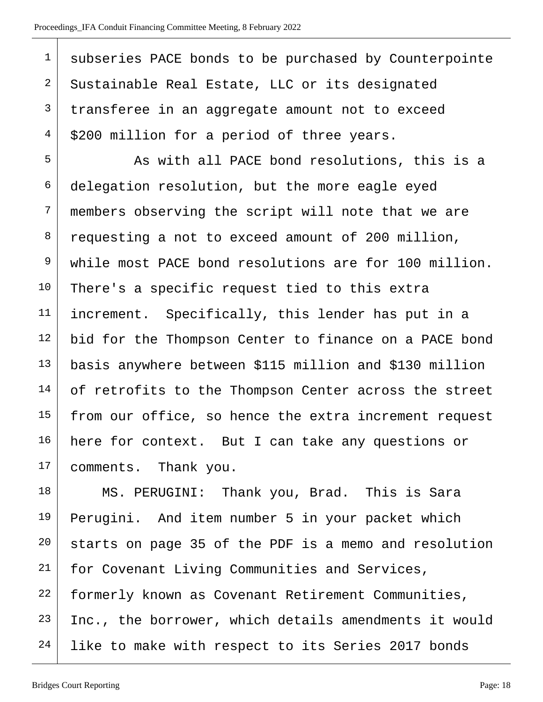| $\mathbf 1$    | subseries PACE bonds to be purchased by Counterpointe  |
|----------------|--------------------------------------------------------|
| $\overline{a}$ | Sustainable Real Estate, LLC or its designated         |
| 3              | transferee in an aggregate amount not to exceed        |
| $\overline{4}$ | \$200 million for a period of three years.             |
| 5              | As with all PACE bond resolutions, this is a           |
| 6              | delegation resolution, but the more eagle eyed         |
| 7              | members observing the script will note that we are     |
| 8              | requesting a not to exceed amount of 200 million,      |
| $\overline{9}$ | while most PACE bond resolutions are for 100 million.  |
| 10             | There's a specific request tied to this extra          |
| 11             | increment. Specifically, this lender has put in a      |
| 12             | bid for the Thompson Center to finance on a PACE bond  |
| 13             | basis anywhere between \$115 million and \$130 million |
| 14             | of retrofits to the Thompson Center across the street  |
| 15             | from our office, so hence the extra increment request  |
| 16             | here for context. But I can take any questions or      |
| 17             | comments. Thank you.                                   |
| 18             | MS. PERUGINI: Thank you, Brad. This is Sara            |
| 19             | Perugini. And item number 5 in your packet which       |
| 20             | starts on page 35 of the PDF is a memo and resolution  |
| 21             | for Covenant Living Communities and Services,          |
| 22             | formerly known as Covenant Retirement Communities,     |
| 23             | Inc., the borrower, which details amendments it would  |
| 24             | like to make with respect to its Series 2017 bonds     |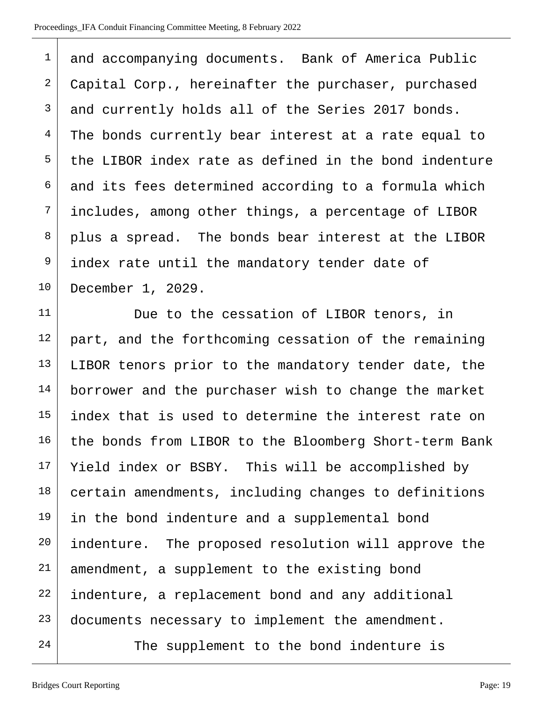| $\mathbf{1}$ | and accompanying documents. Bank of America Public    |
|--------------|-------------------------------------------------------|
| 2            | Capital Corp., hereinafter the purchaser, purchased   |
| 3            | and currently holds all of the Series 2017 bonds.     |
| 4            | The bonds currently bear interest at a rate equal to  |
| 5            | the LIBOR index rate as defined in the bond indenture |
| 6            | and its fees determined according to a formula which  |
| 7            | includes, among other things, a percentage of LIBOR   |
| 8            | plus a spread. The bonds bear interest at the LIBOR   |
| 9            | index rate until the mandatory tender date of         |
| 10           | December 1, 2029.                                     |
| 11           | Due to the cessation of LIBOR tenors, in              |
| 12           | part, and the forthcoming cessation of the remaining  |
| 13           | LIBOR tenors prior to the mandatory tender date, the  |
| 14           | borrower and the purchaser wish to change the market  |
| 15           | index that is used to determine the interest rate on  |
| 16           | the bonds from LIBOR to the Bloomberg Short-term Bank |
| 17           | Yield index or BSBY. This will be accomplished by     |
| 18           | certain amendments, including changes to definitions  |
| 19           | in the bond indenture and a supplemental bond         |
| 20           | indenture. The proposed resolution will approve the   |
| 21           | amendment, a supplement to the existing bond          |
| 22           | indenture, a replacement bond and any additional      |
| 23           | documents necessary to implement the amendment.       |
|              |                                                       |

24 The supplement to the bond indenture is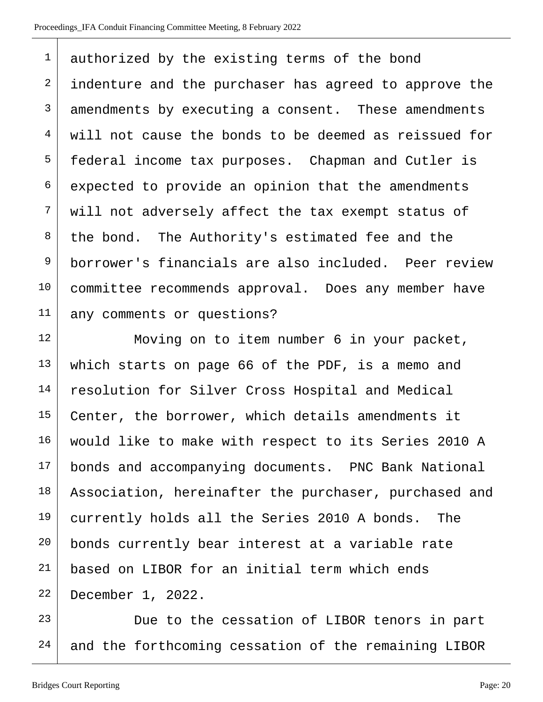| $\mathbf 1$    | authorized by the existing terms of the bond          |
|----------------|-------------------------------------------------------|
| $\overline{a}$ | indenture and the purchaser has agreed to approve the |
| 3              | amendments by executing a consent. These amendments   |
| $\overline{4}$ | will not cause the bonds to be deemed as reissued for |
| 5              | federal income tax purposes. Chapman and Cutler is    |
| 6              | expected to provide an opinion that the amendments    |
| 7              | will not adversely affect the tax exempt status of    |
| 8              | the bond. The Authority's estimated fee and the       |
| 9              | borrower's financials are also included. Peer review  |
| $10 \,$        | committee recommends approval. Does any member have   |
| 11             | any comments or questions?                            |
| 12             | Moving on to item number 6 in your packet,            |
|                |                                                       |

 which starts on page 66 of the PDF, is a memo and 14 | resolution for Silver Cross Hospital and Medical Center, the borrower, which details amendments it 16 | would like to make with respect to its Series 2010 A 17 bonds and accompanying documents. PNC Bank National 18 Association, hereinafter the purchaser, purchased and 19 currently holds all the Series 2010 A bonds. The 20 bonds currently bear interest at a variable rate based on LIBOR for an initial term which ends December 1, 2022.

 Due to the cessation of LIBOR tenors in part and the forthcoming cessation of the remaining LIBOR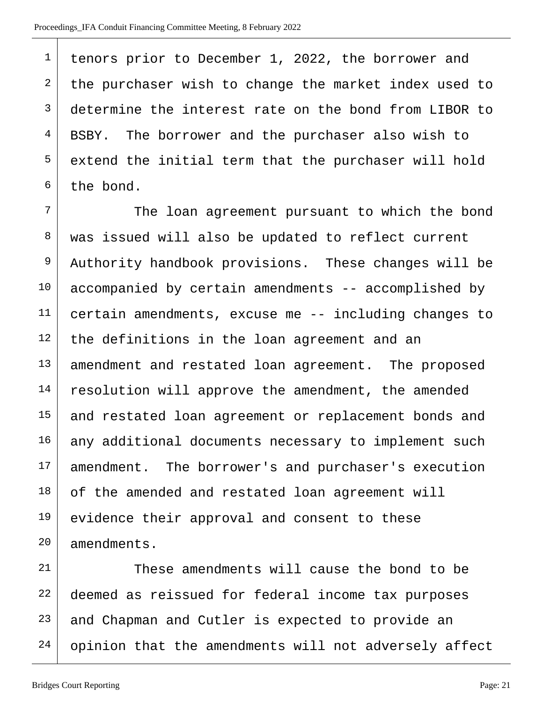tenors prior to December 1, 2022, the borrower and the purchaser wish to change the market index used to 3 determine the interest rate on the bond from LIBOR to BSBY. The borrower and the purchaser also wish to extend the initial term that the purchaser will hold the bond.

 The loan agreement pursuant to which the bond 8 | was issued will also be updated to reflect current 9 Authority handbook provisions. These changes will be accompanied by certain amendments -- accomplished by certain amendments, excuse me -- including changes to the definitions in the loan agreement and an amendment and restated loan agreement. The proposed resolution will approve the amendment, the amended 15 and restated loan agreement or replacement bonds and any additional documents necessary to implement such 17 | amendment. The borrower's and purchaser's execution of the amended and restated loan agreement will 19 evidence their approval and consent to these amendments.

21 These amendments will cause the bond to be deemed as reissued for federal income tax purposes and Chapman and Cutler is expected to provide an 24 opinion that the amendments will not adversely affect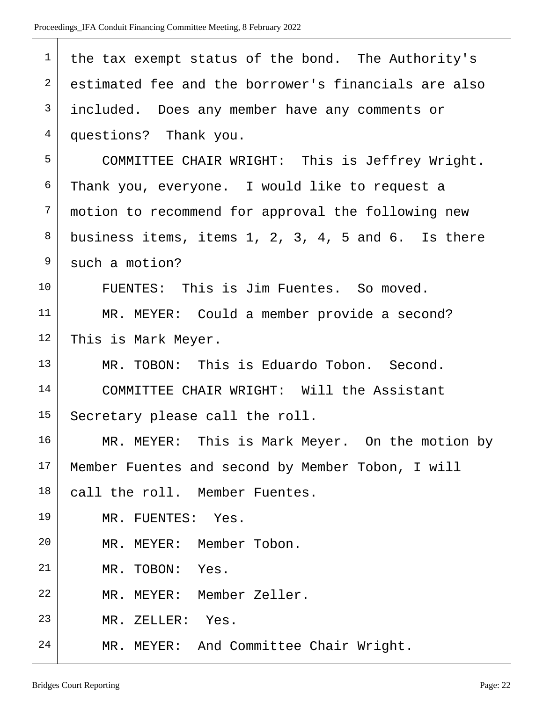| $\mathbf 1$    | the tax exempt status of the bond. The Authority's      |
|----------------|---------------------------------------------------------|
| $\overline{a}$ | estimated fee and the borrower's financials are also    |
| $\mathbf{3}$   | included. Does any member have any comments or          |
| $\overline{4}$ | questions? Thank you.                                   |
| 5              | COMMITTEE CHAIR WRIGHT: This is Jeffrey Wright.         |
| 6              | Thank you, everyone. I would like to request a          |
| 7              | motion to recommend for approval the following new      |
| 8              | business items, items $1, 2, 3, 4, 5$ and $6.$ Is there |
| 9              | such a motion?                                          |
| 10             | FUENTES: This is Jim Fuentes. So moved.                 |
| 11             | MR. MEYER: Could a member provide a second?             |
| 12             | This is Mark Meyer.                                     |
| 13             | MR. TOBON: This is Eduardo Tobon. Second.               |
| 14             | COMMITTEE CHAIR WRIGHT: Will the Assistant              |
| 15             | Secretary please call the roll.                         |
| 16             | MR. MEYER: This is Mark Meyer. On the motion by         |
| 17             | Member Fuentes and second by Member Tobon, I will       |
| 18             | call the roll. Member Fuentes.                          |
| 19             | MR. FUENTES: Yes.                                       |
| 20             | MR. MEYER: Member Tobon.                                |
| 21             | MR. TOBON: Yes.                                         |
| 22             | MR. MEYER: Member Zeller.                               |
| 23             | MR. ZELLER: Yes.                                        |
| 24             | MR. MEYER: And Committee Chair Wright.                  |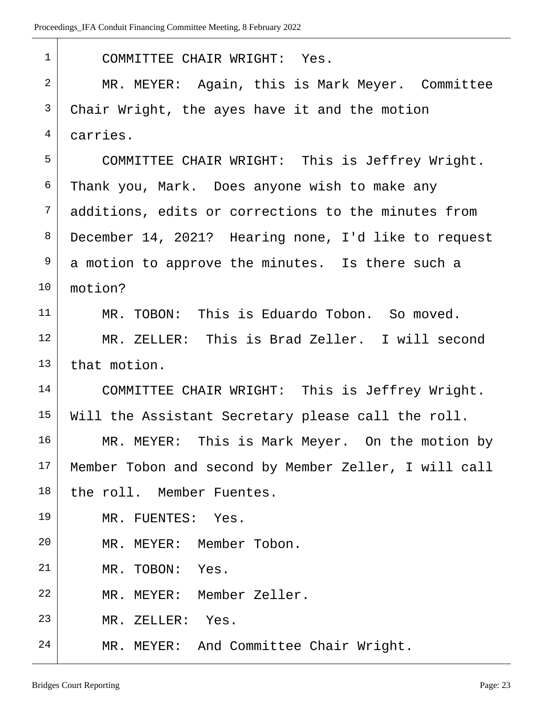| $\mathbf{1}$ | COMMITTEE CHAIR WRIGHT: Yes.                          |
|--------------|-------------------------------------------------------|
| 2            | MR. MEYER: Again, this is Mark Meyer. Committee       |
| 3            | Chair Wright, the ayes have it and the motion         |
| 4            | carries.                                              |
| 5            | COMMITTEE CHAIR WRIGHT: This is Jeffrey Wright.       |
| 6            | Thank you, Mark. Does anyone wish to make any         |
| 7            | additions, edits or corrections to the minutes from   |
| 8            | December 14, 2021? Hearing none, I'd like to request  |
| 9            | a motion to approve the minutes. Is there such a      |
| 10           | motion?                                               |
| 11           | MR. TOBON: This is Eduardo Tobon. So moved.           |
| 12           | MR. ZELLER: This is Brad Zeller. I will second        |
| 13           | that motion.                                          |
| 14           | COMMITTEE CHAIR WRIGHT: This is Jeffrey Wright.       |
| 15           | Will the Assistant Secretary please call the roll.    |
| 16           | MR. MEYER: This is Mark Meyer. On the motion by       |
| 17           | Member Tobon and second by Member Zeller, I will call |
| 18           | the roll. Member Fuentes.                             |
| 19           | MR. FUENTES: Yes.                                     |
| 20           | MR. MEYER: Member Tobon.                              |
| 21           | MR. TOBON: Yes.                                       |
| 22           | MR. MEYER: Member Zeller.                             |
| 23           | Yes.<br>MR. ZELLER:                                   |
| 24           | MR. MEYER: And Committee Chair Wright.                |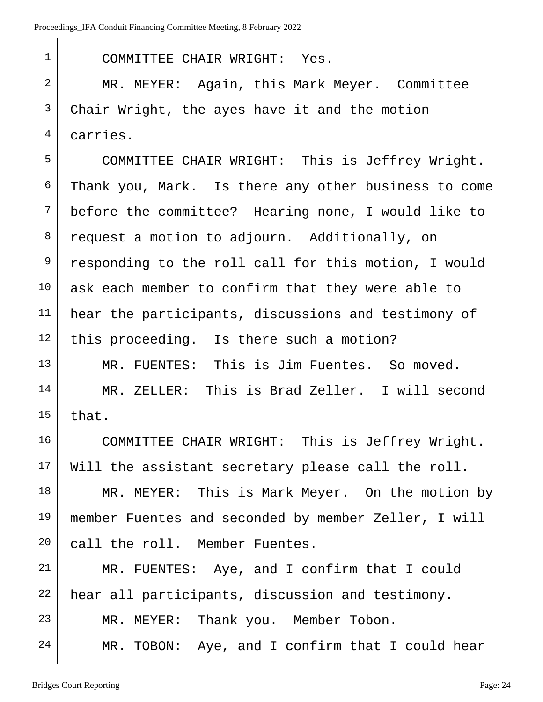| $\mathbf 1$    | COMMITTEE CHAIR WRIGHT: Yes.                         |
|----------------|------------------------------------------------------|
| $\overline{2}$ | MR. MEYER: Again, this Mark Meyer. Committee         |
| $\mathsf{3}$   | Chair Wright, the ayes have it and the motion        |
| 4              | carries.                                             |
| 5              | COMMITTEE CHAIR WRIGHT: This is Jeffrey Wright.      |
| 6              | Thank you, Mark. Is there any other business to come |
| 7              | before the committee? Hearing none, I would like to  |
| 8              | request a motion to adjourn. Additionally, on        |
| 9              | responding to the roll call for this motion, I would |
| 10             | ask each member to confirm that they were able to    |
| 11             | hear the participants, discussions and testimony of  |
| 12             | this proceeding. Is there such a motion?             |
| 13             | MR. FUENTES: This is Jim Fuentes. So moved.          |
| 14             | MR. ZELLER: This is Brad Zeller. I will second       |
| 15             | that.                                                |
| 16             | COMMITTEE CHAIR WRIGHT: This is Jeffrey Wright.      |
| 17             | Will the assistant secretary please call the roll.   |
| 18             | MR. MEYER: This is Mark Meyer. On the motion by      |
| 19             | member Fuentes and seconded by member Zeller, I will |
| 20             | call the roll. Member Fuentes.                       |
| 21             | MR. FUENTES: Aye, and I confirm that I could         |
| 22             | hear all participants, discussion and testimony.     |
| 23             | MR. MEYER: Thank you. Member Tobon.                  |
| 24             | MR. TOBON: Aye, and I confirm that I could hear      |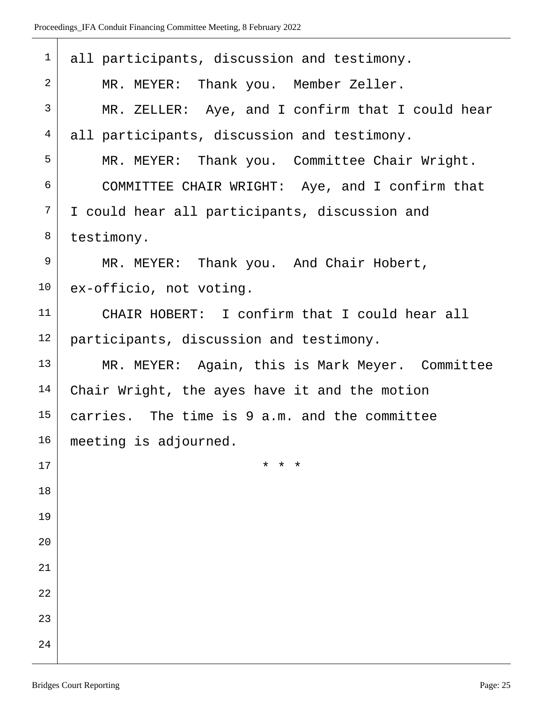| $\mathbf 1$    | all participants, discussion and testimony.      |
|----------------|--------------------------------------------------|
| $\overline{2}$ | MR. MEYER: Thank you. Member Zeller.             |
| $\mathfrak{Z}$ | MR. ZELLER: Aye, and I confirm that I could hear |
| 4              | all participants, discussion and testimony.      |
| 5              | MR. MEYER: Thank you. Committee Chair Wright.    |
| 6              | COMMITTEE CHAIR WRIGHT: Aye, and I confirm that  |
| 7              | I could hear all participants, discussion and    |
| 8              | testimony.                                       |
| 9              | MR. MEYER: Thank you. And Chair Hobert,          |
| 10             | ex-officio, not voting.                          |
| 11             | CHAIR HOBERT: I confirm that I could hear all    |
| 12             | participants, discussion and testimony.          |
| 13             | MR. MEYER: Again, this is Mark Meyer. Committee  |
| 14             | Chair Wright, the ayes have it and the motion    |
| 15             | carries. The time is 9 a.m. and the committee    |
| 16             | meeting is adjourned.                            |
| 17             | * * *                                            |
| 18             |                                                  |
| 19             |                                                  |
| 20             |                                                  |
| 21             |                                                  |
| 22             |                                                  |
| 23             |                                                  |
| 24             |                                                  |